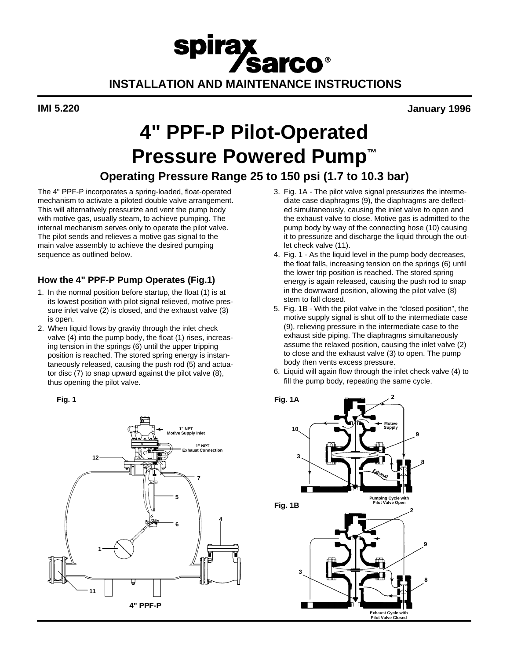## spirax **Sarco® INSTALLATION AND MAINTENANCE INSTRUCTIONS**

**IMI 5.220 January 1996**

# **4" PPF-P Pilot-Operated Pressure Powered Pump™**

### **Operating Pressure Range 25 to 150 psi (1.7 to 10.3 bar)**

The 4" PPF-P incorporates a spring-loaded, float-operated mechanism to activate a piloted double valve arrangement. This will alternatively pressurize and vent the pump body with motive gas, usually steam, to achieve pumping. The internal mechanism serves only to operate the pilot valve. The pilot sends and relieves a motive gas signal to the main valve assembly to achieve the desired pumping sequence as outlined below.

### **How the 4" PPF-P Pump Operates (Fig.1)**

- 1. In the normal position before startup, the float (1) is at its lowest position with pilot signal relieved, motive pressure inlet valve (2) is closed, and the exhaust valve (3) is open.
- 2. When liquid flows by gravity through the inlet check valve (4) into the pump body, the float (1) rises, increasing tension in the springs (6) until the upper tripping position is reached. The stored spring energy is instantaneously released, causing the push rod (5) and actuator disc (7) to snap upward against the pilot valve (8), thus opening the pilot valve.

**Fig. 1**



- 3. Fig. 1A The pilot valve signal pressurizes the intermediate case diaphragms (9), the diaphragms are deflected simultaneously, causing the inlet valve to open and the exhaust valve to close. Motive gas is admitted to the pump body by way of the connecting hose (10) causing it to pressurize and discharge the liquid through the outlet check valve (11).
- 4. Fig. 1 As the liquid level in the pump body decreases, the float falls, increasing tension on the springs (6) until the lower trip position is reached. The stored spring energy is again released, causing the push rod to snap in the downward position, allowing the pilot valve (8) stem to fall closed.
- 5. Fig. 1B With the pilot valve in the "closed position", the motive supply signal is shut off to the intermediate case (9), relieving pressure in the intermediate case to the exhaust side piping. The diaphragms simultaneously assume the relaxed position, causing the inlet valve (2) to close and the exhaust valve (3) to open. The pump body then vents excess pressure.
- 6. Liquid will again flow through the inlet check valve (4) to fill the pump body, repeating the same cycle.

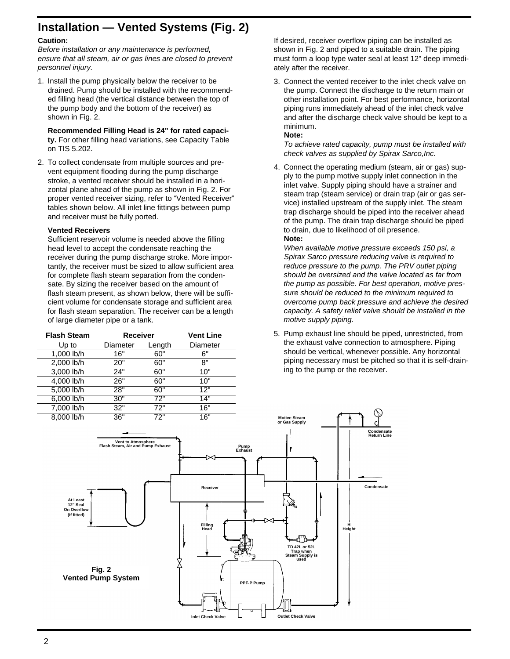### **Installation — Vented Systems (Fig. 2)**

#### **Caution:**

*Before installation or any maintenance is performed, ensure that all steam, air or gas lines are closed to prevent personnel injury.*

1. Install the pump physically below the receiver to be drained. Pump should be installed with the recommended filling head (the vertical distance between the top of the pump body and the bottom of the receiver) as shown in Fig. 2.

**Recommended Filling Head is 24" for rated capacity.** For other filling head variations, see Capacity Table on TIS 5.202.

2. To collect condensate from multiple sources and prevent equipment flooding during the pump discharge stroke, a vented receiver should be installed in a horizontal plane ahead of the pump as shown in Fig. 2. For proper vented receiver sizing, refer to "Vented Receiver" tables shown below. All inlet line fittings between pump and receiver must be fully ported.

#### **Vented Receivers**

Sufficient reservoir volume is needed above the filling head level to accept the condensate reaching the receiver during the pump discharge stroke. More importantly, the receiver must be sized to allow sufficient area for complete flash steam separation from the condensate. By sizing the receiver based on the amount of flash steam present, as shown below, there will be sufficient volume for condensate storage and sufficient area for flash steam separation. The receiver can be a length of large diameter pipe or a tank.

| <b>Flash Steam</b> | <b>Receiver</b> |        | <b>Vent Line</b> |
|--------------------|-----------------|--------|------------------|
| Up to              | Diameter        | Length | Diameter         |
| 1,000 lb/h         | 16"             | 60"    | 6"               |
| 2,000 lb/h         | 20"             | 60"    | 8"               |
| 3,000 lb/h         | 24"             | 60"    | 10"              |
| 4,000 lb/h         | 26"             | 60"    | 10"              |
| 5,000 lb/h         | 28"             | 60"    | 12"              |
| 6,000 lb/h         | 30"             | 72"    | 14"              |
| 7,000 lb/h         | 32"             | 72"    | 16"              |
| 8.000 lb/h         | 36"             | 72"    | 16"              |

If desired, receiver overflow piping can be installed as shown in Fig. 2 and piped to a suitable drain. The piping must form a loop type water seal at least 12" deep immediately after the receiver.

3. Connect the vented receiver to the inlet check valve on the pump. Connect the discharge to the return main or other installation point. For best performance, horizontal piping runs immediately ahead of the inlet check valve and after the discharge check valve should be kept to a minimum.

#### **Note:**

*To achieve rated capacity, pump must be installed with check valves as supplied by Spirax Sarco,Inc.*

4. Connect the operating medium (steam, air or gas) supply to the pump motive supply inlet connection in the inlet valve. Supply piping should have a strainer and steam trap (steam service) or drain trap (air or gas service) installed upstream of the supply inlet. The steam trap discharge should be piped into the receiver ahead of the pump. The drain trap discharge should be piped to drain, due to likelihood of oil presence. **Note:**

*When available motive pressure exceeds 150 psi, a Spirax Sarco pressure reducing valve is required to reduce pressure to the pump. The PRV outlet piping should be oversized and the valve located as far from the pump as possible. For best operation, motive pressure should be reduced to the minimum required to overcome pump back pressure and achieve the desired capacity. A safety relief valve should be installed in the motive supply piping.*

5. Pump exhaust line should be piped, unrestricted, from the exhaust valve connection to atmosphere. Piping should be vertical, whenever possible. Any horizontal piping necessary must be pitched so that it is self-draining to the pump or the receiver.

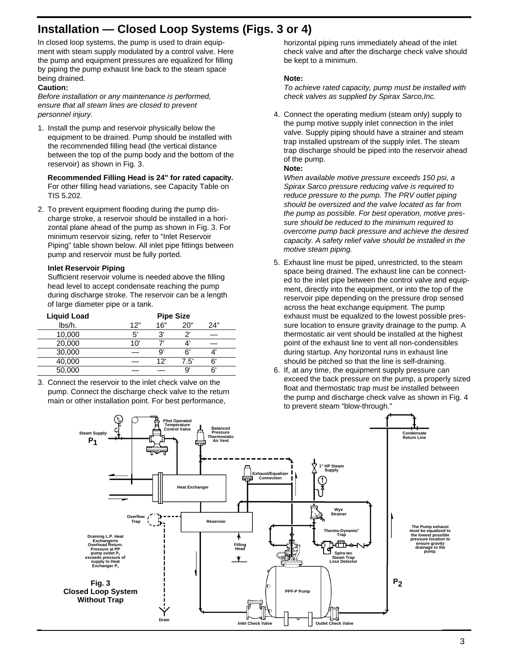### **Installation — Closed Loop Systems (Figs. 3 or 4)**

In closed loop systems, the pump is used to drain equipment with steam supply modulated by a control valve. Here the pump and equipment pressures are equalized for filling by piping the pump exhaust line back to the steam space being drained.

#### **Caution:**

*Before installation or any maintenance is performed, ensure that all steam lines are closed to prevent personnel injury.*

1. Install the pump and reservoir physically below the equipment to be drained. Pump should be installed with the recommended filling head (the vertical distance between the top of the pump body and the bottom of the reservoir) as shown in Fig. 3.

Recommended Filling Head is 24" for rated capacity. For other filling head variations, see Capacity Table on TIS 5.202.

2. To prevent equipment flooding during the pump discharge stroke, a reservoir should be installed in a horizontal plane ahead of the pump as shown in Fig. 3. For minimum reservoir sizing, refer to "Inlet Reservoir Piping" table shown below. All inlet pipe fittings between pump and reservoir must be fully ported.

#### **Inlet Reservoir Piping**

Sufficient reservoir volume is needed above the filling head level to accept condensate reaching the pump during discharge stroke. The reservoir can be a length of large diameter pipe or a tank.

| <b>Liquid Load</b> |     | <b>Pipe Size</b> |      |      |
|--------------------|-----|------------------|------|------|
| lbs/h.             | 12" | 16"              | 20"  | 24"  |
| 10,000             | 5'  | יפ               | יפ   |      |
| 20,000             | 10' |                  |      |      |
| 30,000             |     | g                | ี    |      |
| 40,000             |     | 12'              | 7.5' | ี ค' |
| 50,000             |     |                  | 9    | 6'   |

3. Connect the reservoir to the inlet check valve on the pump. Connect the discharge check valve to the return main or other installation point. For best performance,

horizontal piping runs immediately ahead of the inlet check valve and after the discharge check valve should be kept to a minimum.

#### **Note:**

*To achieve rated capacity, pump must be installed with check valves as supplied by Spirax Sarco,Inc.*

4. Connect the operating medium (steam only) supply to the pump motive supply inlet connection in the inlet valve. Supply piping should have a strainer and steam trap installed upstream of the supply inlet. The steam trap discharge should be piped into the reservoir ahead of the pump.

#### **Note:**

*When available motive pressure exceeds 150 psi, a Spirax Sarco pressure reducing valve is required to reduce pressure to the pump. The PRV outlet piping should be oversized and the valve located as far from the pump as possible. For best operation, motive pressure should be reduced to the minimum required to overcome pump back pressure and achieve the desired capacity. A safety relief valve should be installed in the motive steam piping.*

- 5. Exhaust line must be piped, unrestricted, to the steam space being drained. The exhaust line can be connected to the inlet pipe between the control valve and equipment, directly into the equipment, or into the top of the reservoir pipe depending on the pressure drop sensed across the heat exchange equipment. The pump exhaust must be equalized to the lowest possible pressure location to ensure gravity drainage to the pump. A thermostatic air vent should be installed at the highest point of the exhaust line to vent all non-condensibles during startup. Any horizontal runs in exhaust line should be pitched so that the line is self-draining.
- 6. If, at any time, the equipment supply pressure can exceed the back pressure on the pump, a properly sized float and thermostatic trap must be installed between the pump and discharge check valve as shown in Fig. 4 to prevent steam "blow-through."

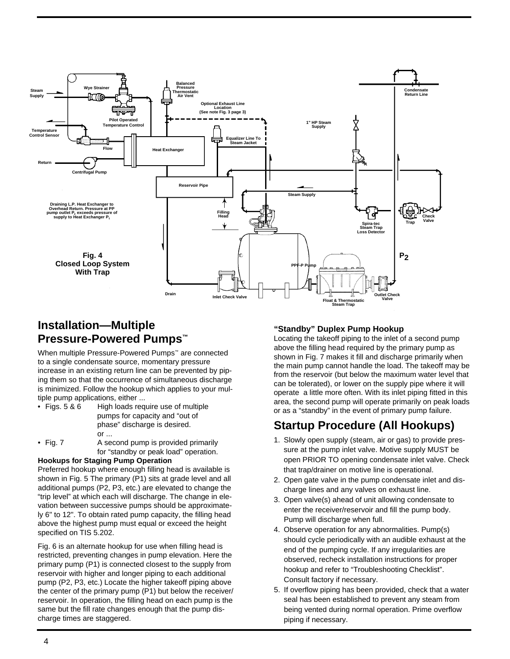

### **Installation—Multiple Pressure-Powered Pumps™**

When multiple Pressure-Powered Pumps™ are connected to a single condensate source, momentary pressure increase in an existing return line can be prevented by piping them so that the occurrence of simultaneous discharge is minimized. Follow the hookup which applies to your multiple pump applications, either ...

| • Figs. $5 & 6$  | High loads require use of multiple  |
|------------------|-------------------------------------|
|                  | pumps for capacity and "out of      |
|                  | phase" discharge is desired.        |
|                  | or                                  |
| $\bullet$ Fig. 7 | A second pump is provided primarily |

for "standby or peak load" operation.

### **Hookups for Staging Pump Operation**

Preferred hookup where enough filling head is available is shown in Fig. 5 The primary (P1) sits at grade level and all additional pumps (P2, P3, etc.) are elevated to change the "trip level" at which each will discharge. The change in elevation between successive pumps should be approximately 6" to 12". To obtain rated pump capacity, the filling head above the highest pump must equal or exceed the height specified on TIS 5.202.

Fig. 6 is an alternate hookup for use when filling head is restricted, preventing changes in pump elevation. Here the primary pump (P1) is connected closest to the supply from reservoir with higher and longer piping to each additional pump (P2, P3, etc.) Locate the higher takeoff piping above the center of the primary pump (P1) but below the receiver/ reservoir. In operation, the filling head on each pump is the same but the fill rate changes enough that the pump discharge times are staggered.

### **"Standby" Duplex Pump Hookup**

Locating the takeoff piping to the inlet of a second pump above the filling head required by the primary pump as shown in Fig. 7 makes it fill and discharge primarily when the main pump cannot handle the load. The takeoff may be from the reservoir (but below the maximum water level that can be tolerated), or lower on the supply pipe where it will operate a little more often. With its inlet piping fitted in this area, the second pump will operate primarily on peak loads or as a "standby" in the event of primary pump failure.

### **Startup Procedure (All Hookups)**

- 1. Slowly open supply (steam, air or gas) to provide pressure at the pump inlet valve. Motive supply MUST be open PRIOR TO opening condensate inlet valve. Check that trap/drainer on motive line is operational.
- 2. Open gate valve in the pump condensate inlet and discharge lines and any valves on exhaust line.
- 3. Open valve(s) ahead of unit allowing condensate to enter the receiver/reservoir and fill the pump body. Pump will discharge when full.
- 4. Observe operation for any abnormalities. Pump(s) should cycle periodically with an audible exhaust at the end of the pumping cycle. If any irregularities are observed, recheck installation instructions for proper hookup and refer to "Troubleshooting Checklist". Consult factory if necessary.
- 5. If overflow piping has been provided, check that a water seal has been established to prevent any steam from being vented during normal operation. Prime overflow piping if necessary.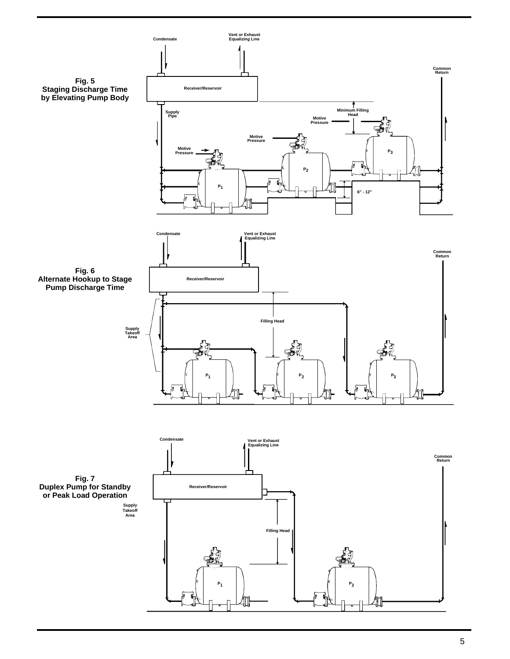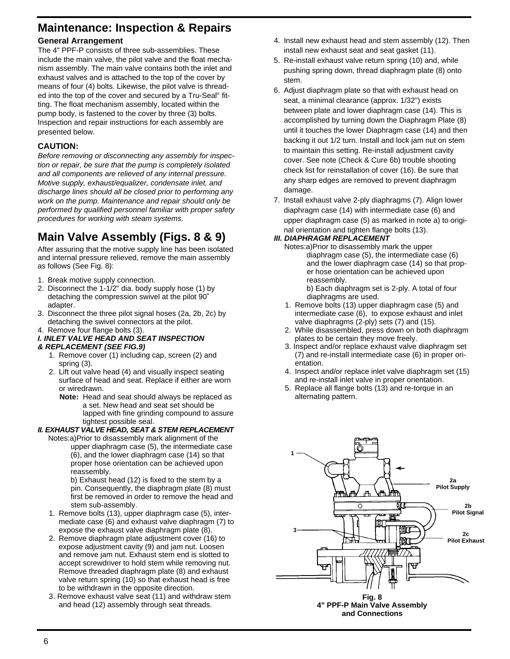### **Maintenance: Inspection & Repairs**

### **General Arrangement**

The 4" PPF-P consists of three sub-assemblies. These include the main valve, the pilot valve and the float mechanism assembly. The main valve contains both the inlet and exhaust valves and is attached to the top of the cover by means of four (4) bolts. Likewise, the pilot valve is threaded into the top of the cover and secured by a Tru-Seal<sup>®</sup> fitting. The float mechanism assembly, located within the pump body, is fastened to the cover by three (3) bolts. Inspection and repair instructions for each assembly are presented below.

### **CAUTION:**

*Before removing or disconnecting any assembly for inspection or repair, be sure that the pump is completely isolated and all components are relieved of any internal pressure. Motive supply, exhaust/equalizer, condensate inlet, and discharge lines should all be closed prior to performing any work on the pump. Maintenance and repair should only be performed by qualified personnel familiar with proper safety procedures for working with steam systems.*

## **Main Valve Assembly (Figs. 8 & 9)**

After assuring that the motive supply line has been isolated and internal pressure relieved, remove the main assembly as follows (See Fig. 8):

- 1. Break motive supply connection.
- 2. Disconnect the 1-1/2" dia. body supply hose (1) by detaching the compression swivel at the pilot 90˚ adapter.
- 3. Disconnect the three pilot signal hoses (2a, 2b, 2c) by detaching the swivel connectors at the pilot.
- 4. Remove four flange bolts (3).

### *I. INLET VALVE HEAD AND SEAT INSPECTION*

- *& REPLACEMENT (SEE FIG.9)*
	- 1. Remove cover (1) including cap, screen (2) and spring (3).
	- 2. Lift out valve head (4) and visually inspect seating surface of head and seat. Replace if either are worn or wiredrawn.
		- **Note:** Head and seat should always be replaced as a set. New head and seat set should be lapped with fine grinding compound to assure tightest possible seal.

### *II. EXHAUST VALVE HEAD, SEAT & STEM REPLACEMENT*

Notes:a)Prior to disassembly mark alignment of the upper diaphragm case (5), the intermediate case (6), and the lower diaphragm case (14) so that proper hose orientation can be achieved upon reassembly.

b) Exhaust head (12) is fixed to the stem by a pin. Consequently, the diaphragm plate (8) must first be removed in order to remove the head and stem sub-assembly.

- 1. Remove bolts (13), upper diaphragm case (5), intermediate case (6) and exhaust valve diaphragm (7) to expose the exhaust valve diaphragm plate (8).
- 2. Remove diaphragm plate adjustment cover (16) to expose adjustment cavity (9) and jam nut. Loosen and remove jam nut. Exhaust stem end is slotted to accept screwdriver to hold stem while removing nut. Remove threaded diaphragm plate (8) and exhaust valve return spring (10) so that exhaust head is free to be withdrawn in the opposite direction.
- 3. Remove exhaust valve seat (11) and withdraw stem and head (12) assembly through seat threads.
- 4. Install new exhaust head and stem assembly (12). Then install new exhaust seat and seat gasket (11).
- 5. Re-install exhaust valve return spring (10) and, while pushing spring down, thread diaphragm plate (8) onto stem.
- 6. Adjust diaphragm plate so that with exhaust head on seat, a minimal clearance (approx. 1/32") exists between plate and lower diaphragm case (14). This is accomplished by turning down the Diaphragm Plate (8) until it touches the lower Diaphragm case (14) and then backing it out 1/2 turn. Install and lock jam nut on stem to maintain this setting. Re-install adjustment cavity cover. See note (Check & Cure 6b) trouble shooting check list for reinstallation of cover (16). Be sure that any sharp edges are removed to prevent diaphragm damage.
- 7. Install exhaust valve 2-ply diaphragms (7). Align lower diaphragm case (14) with intermediate case (6) and upper diaphragm case (5) as marked in note a) to original orientation and tighten flange bolts (13).

### *III. DIAPHRAGM REPLACEMENT*

Notes:a)Prior to disassembly mark the upper diaphragm case (5), the intermediate case (6) and the lower diaphragm case (14) so that proper hose orientation can be achieved upon reassembly.

b) Each diaphragm set is 2-ply. A total of four diaphragms are used.

- 1. Remove bolts (13) upper diaphragm case (5) and intermediate case (6), to expose exhaust and inlet valve diaphragms (2-ply) sets (7) and (15).
- 2. While disassembled, press down on both diaphragm plates to be certain they move freely.
- 3. Inspect and/or replace exhaust valve diaphragm set (7) and re-install intermediate case (6) in proper orientation.
- 4. Inspect and/or replace inlet valve diaphragm set (15) and re-install inlet valve in proper orientation.
- 5. Replace all flange bolts (13) and re-torque in an alternating pattern.



**Fig. 8 4" PPF-P Main Valve Assembly and Connections**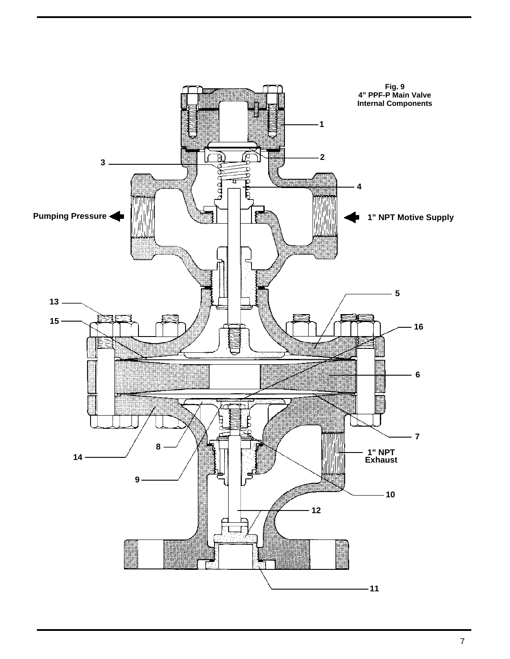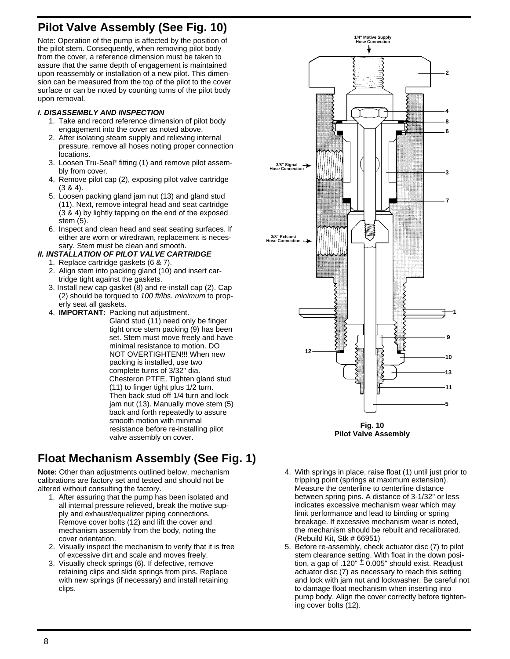### **Pilot Valve Assembly (See Fig. 10)**

Note: Operation of the pump is affected by the position of the pilot stem. Consequently, when removing pilot body from the cover, a reference dimension must be taken to assure that the same depth of engagement is maintained upon reassembly or installation of a new pilot. This dimension can be measured from the top of the pilot to the cover surface or can be noted by counting turns of the pilot body upon removal.

### *I. DISASSEMBLY AND INSPECTION*

- 1. Take and record reference dimension of pilot body engagement into the cover as noted above.
- 2. After isolating steam supply and relieving internal pressure, remove all hoses noting proper connection locations.
- 3. Loosen Tru-Seal® fitting (1) and remove pilot assembly from cover.
- 4. Remove pilot cap (2), exposing pilot valve cartridge (3 & 4).
- 5. Loosen packing gland jam nut (13) and gland stud (11). Next, remove integral head and seat cartridge (3 & 4) by lightly tapping on the end of the exposed stem (5).
- 6. Inspect and clean head and seat seating surfaces. If either are worn or wiredrawn, replacement is necessary. Stem must be clean and smooth.

#### *II. INSTALLATION OF PILOT VALVE CARTRIDGE*

- 1. Replace cartridge gaskets (6 & 7).
- 2. Align stem into packing gland (10) and insert cartridge tight against the gaskets.
- 3. Install new cap gasket (8) and re-install cap (2). Cap (2) should be torqued to *100 ft/lbs. minimum* to properly seat all gaskets.
- 4. **IMPORTANT:** Packing nut adjustment.
	- Gland stud (11) need only be finger tight once stem packing (9) has been set. Stem must move freely and have minimal resistance to motion. DO NOT OVERTIGHTEN!!! When new packing is installed, use two complete turns of 3/32" dia. Chesteron PTFE. Tighten gland stud (11) to finger tight plus 1/2 turn. Then back stud off 1/4 turn and lock jam nut (13). Manually move stem (5) back and forth repeatedly to assure smooth motion with minimal resistance before re-installing pilot valve assembly on cover.

### **Float Mechanism Assembly (See Fig. 1)**

**Note:** Other than adjustments outlined below, mechanism calibrations are factory set and tested and should not be altered without consulting the factory.

- 1. After assuring that the pump has been isolated and all internal pressure relieved, break the motive supply and exhaust/equalizer piping connections. Remove cover bolts (12) and lift the cover and mechanism assembly from the body, noting the cover orientation.
- 2. Visually inspect the mechanism to verify that it is free of excessive dirt and scale and moves freely.
- 3. Visually check springs (6). If defective, remove retaining clips and slide springs from pins. Replace with new springs (if necessary) and install retaining clips.



**Fig. 10 Pilot Valve Assembly**

- 4. With springs in place, raise float (1) until just prior to tripping point (springs at maximum extension). Measure the centerline to centerline distance between spring pins. A distance of 3-1/32" or less indicates excessive mechanism wear which may limit performance and lead to binding or spring breakage. If excessive mechanism wear is noted, the mechanism should be rebuilt and recalibrated. (Rebuild Kit, Stk # 66951)
- 5. Before re-assembly, check actuator disc (7) to pilot stem clearance setting. With float in the down position, a gap of .120"  $\pm$  0.005" should exist. Readjust actuator disc (7) as necessary to reach this setting and lock with jam nut and lockwasher. Be careful not to damage float mechanism when inserting into pump body. Align the cover correctly before tightening cover bolts (12).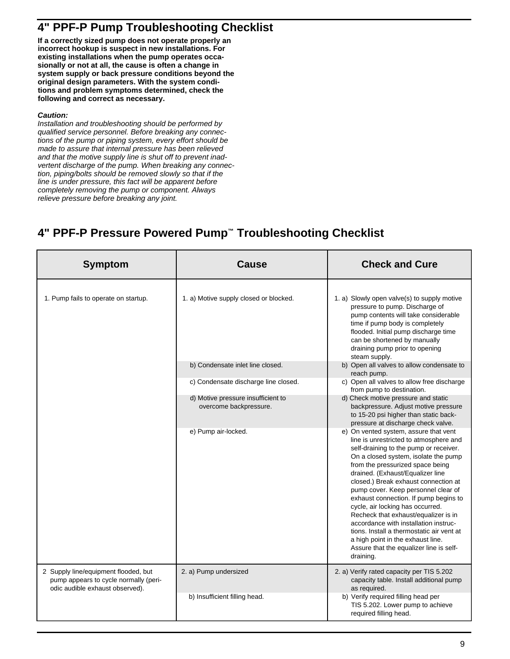### **4" PPF-P Pump Troubleshooting Checklist**

**If a correctly sized pump does not operate properly an incorrect hookup is suspect in new installations. For existing installations when the pump operates occasionally or not at all, the cause is often a change in system supply or back pressure conditions beyond the original design parameters. With the system conditions and problem symptoms determined, check the following and correct as necessary.**

#### *Caution:*

*Installation and troubleshooting should be performed by qualified service personnel. Before breaking any connections of the pump or piping system, every effort should be made to assure that internal pressure has been relieved and that the motive supply line is shut off to prevent inadvertent discharge of the pump. When breaking any connection, piping/bolts should be removed slowly so that if the line is under pressure, this fact will be apparent before completely removing the pump or component. Always relieve pressure before breaking any joint.*

### **4" PPF-P Pressure Powered Pump™ Troubleshooting Checklist**

| <b>Symptom</b>                                                                                                   | <b>Cause</b>                                                 | <b>Check and Cure</b>                                                                                                                                                                                                                                                                                                                                                                                                                                                                                                                                                                                                            |
|------------------------------------------------------------------------------------------------------------------|--------------------------------------------------------------|----------------------------------------------------------------------------------------------------------------------------------------------------------------------------------------------------------------------------------------------------------------------------------------------------------------------------------------------------------------------------------------------------------------------------------------------------------------------------------------------------------------------------------------------------------------------------------------------------------------------------------|
| 1. Pump fails to operate on startup.                                                                             | 1. a) Motive supply closed or blocked.                       | 1. a) Slowly open valve(s) to supply motive<br>pressure to pump. Discharge of<br>pump contents will take considerable<br>time if pump body is completely<br>flooded. Initial pump discharge time<br>can be shortened by manually<br>draining pump prior to opening<br>steam supply.                                                                                                                                                                                                                                                                                                                                              |
|                                                                                                                  | b) Condensate inlet line closed.                             | b) Open all valves to allow condensate to<br>reach pump.                                                                                                                                                                                                                                                                                                                                                                                                                                                                                                                                                                         |
|                                                                                                                  | c) Condensate discharge line closed.                         | c) Open all valves to allow free discharge<br>from pump to destination.                                                                                                                                                                                                                                                                                                                                                                                                                                                                                                                                                          |
|                                                                                                                  | d) Motive pressure insufficient to<br>overcome backpressure. | d) Check motive pressure and static<br>backpressure. Adjust motive pressure<br>to 15-20 psi higher than static back-<br>pressure at discharge check valve.                                                                                                                                                                                                                                                                                                                                                                                                                                                                       |
|                                                                                                                  | e) Pump air-locked.                                          | e) On vented system, assure that vent<br>line is unrestricted to atmosphere and<br>self-draining to the pump or receiver.<br>On a closed system, isolate the pump<br>from the pressurized space being<br>drained. (Exhaust/Equalizer line<br>closed.) Break exhaust connection at<br>pump cover. Keep personnel clear of<br>exhaust connection. If pump begins to<br>cycle, air locking has occurred.<br>Recheck that exhaust/equalizer is in<br>accordance with installation instruc-<br>tions. Install a thermostatic air vent at<br>a high point in the exhaust line.<br>Assure that the equalizer line is self-<br>draining. |
| 2 Supply line/equipment flooded, but<br>pump appears to cycle normally (peri-<br>odic audible exhaust observed). | 2. a) Pump undersized                                        | 2. a) Verify rated capacity per TIS 5.202<br>capacity table. Install additional pump<br>as required.                                                                                                                                                                                                                                                                                                                                                                                                                                                                                                                             |
|                                                                                                                  | b) Insufficient filling head.                                | b) Verify required filling head per<br>TIS 5.202. Lower pump to achieve<br>required filling head.                                                                                                                                                                                                                                                                                                                                                                                                                                                                                                                                |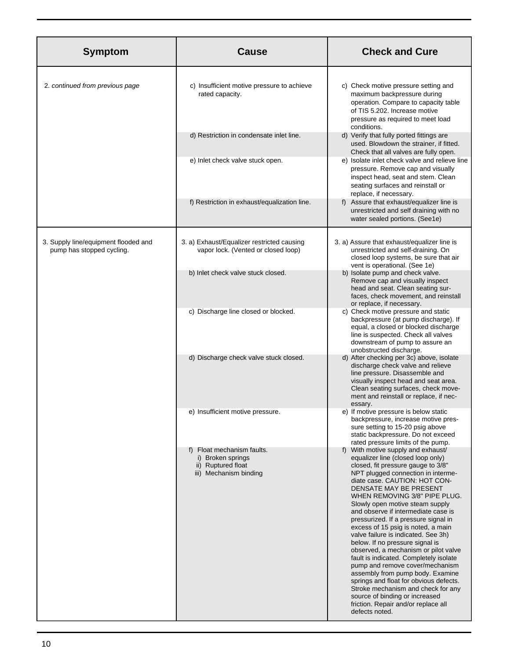| <b>Symptom</b>                                                    | <b>Cause</b>                                                                                    | <b>Check and Cure</b>                                                                                                                                                                                                                                                                                                                                                                                                                                                                                                                                                                                                                                                                                                                                                                                                 |
|-------------------------------------------------------------------|-------------------------------------------------------------------------------------------------|-----------------------------------------------------------------------------------------------------------------------------------------------------------------------------------------------------------------------------------------------------------------------------------------------------------------------------------------------------------------------------------------------------------------------------------------------------------------------------------------------------------------------------------------------------------------------------------------------------------------------------------------------------------------------------------------------------------------------------------------------------------------------------------------------------------------------|
| 2. continued from previous page                                   | c) Insufficient motive pressure to achieve<br>rated capacity.                                   | c) Check motive pressure setting and<br>maximum backpressure during<br>operation. Compare to capacity table<br>of TIS 5.202. Increase motive<br>pressure as required to meet load<br>conditions.                                                                                                                                                                                                                                                                                                                                                                                                                                                                                                                                                                                                                      |
|                                                                   | d) Restriction in condensate inlet line.                                                        | d) Verify that fully ported fittings are<br>used. Blowdown the strainer, if fitted.<br>Check that all valves are fully open.                                                                                                                                                                                                                                                                                                                                                                                                                                                                                                                                                                                                                                                                                          |
|                                                                   | e) Inlet check valve stuck open.                                                                | e) Isolate inlet check valve and relieve line<br>pressure. Remove cap and visually<br>inspect head, seat and stem. Clean<br>seating surfaces and reinstall or<br>replace, if necessary.                                                                                                                                                                                                                                                                                                                                                                                                                                                                                                                                                                                                                               |
|                                                                   | f) Restriction in exhaust/equalization line.                                                    | f) Assure that exhaust/equalizer line is<br>unrestricted and self draining with no<br>water sealed portions. (See1e)                                                                                                                                                                                                                                                                                                                                                                                                                                                                                                                                                                                                                                                                                                  |
| 3. Supply line/equipment flooded and<br>pump has stopped cycling. | 3. a) Exhaust/Equalizer restricted causing<br>vapor lock. (Vented or closed loop)               | 3. a) Assure that exhaust/equalizer line is<br>unrestricted and self-draining. On<br>closed loop systems, be sure that air<br>vent is operational. (See 1e)                                                                                                                                                                                                                                                                                                                                                                                                                                                                                                                                                                                                                                                           |
|                                                                   | b) Inlet check valve stuck closed.                                                              | b) Isolate pump and check valve.<br>Remove cap and visually inspect<br>head and seat. Clean seating sur-<br>faces, check movement, and reinstall<br>or replace, if necessary.                                                                                                                                                                                                                                                                                                                                                                                                                                                                                                                                                                                                                                         |
|                                                                   | c) Discharge line closed or blocked.                                                            | c) Check motive pressure and static<br>backpressure (at pump discharge). If<br>equal, a closed or blocked discharge<br>line is suspected. Check all valves<br>downstream of pump to assure an<br>unobstructed discharge.                                                                                                                                                                                                                                                                                                                                                                                                                                                                                                                                                                                              |
|                                                                   | d) Discharge check valve stuck closed.                                                          | d) After checking per 3c) above, isolate<br>discharge check valve and relieve<br>line pressure. Disassemble and<br>visually inspect head and seat area.<br>Clean seating surfaces, check move-<br>ment and reinstall or replace, if nec-<br>essary.                                                                                                                                                                                                                                                                                                                                                                                                                                                                                                                                                                   |
|                                                                   | e) Insufficient motive pressure.                                                                | e) If motive pressure is below static<br>backpressure, increase motive pres-<br>sure setting to 15-20 psig above<br>static backpressure. Do not exceed<br>rated pressure limits of the pump.                                                                                                                                                                                                                                                                                                                                                                                                                                                                                                                                                                                                                          |
|                                                                   | f) Float mechanism faults.<br>i) Broken springs<br>ii) Ruptured float<br>iii) Mechanism binding | f) With motive supply and exhaust/<br>equalizer line (closed loop only)<br>closed, fit pressure gauge to 3/8"<br>NPT plugged connection in interme-<br>diate case. CAUTION: HOT CON-<br>DENSATE MAY BE PRESENT<br>WHEN REMOVING 3/8" PIPE PLUG.<br>Slowly open motive steam supply<br>and observe if intermediate case is<br>pressurized. If a pressure signal in<br>excess of 15 psig is noted, a main<br>valve failure is indicated. See 3h)<br>below. If no pressure signal is<br>observed, a mechanism or pilot valve<br>fault is indicated. Completely isolate<br>pump and remove cover/mechanism<br>assembly from pump body. Examine<br>springs and float for obvious defects.<br>Stroke mechanism and check for any<br>source of binding or increased<br>friction. Repair and/or replace all<br>defects noted. |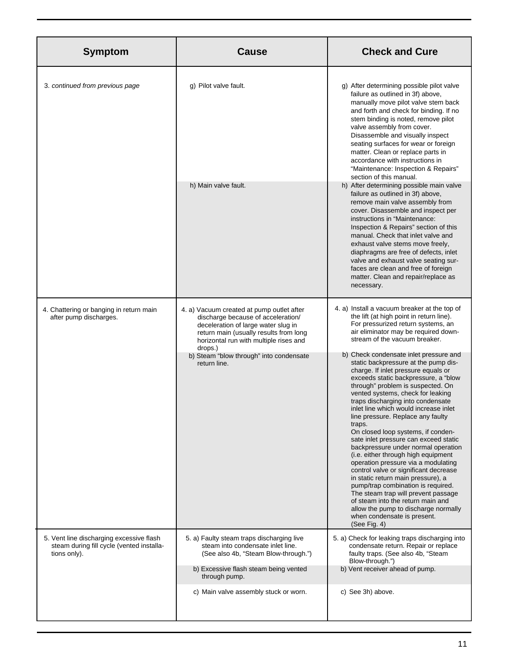| <b>Symptom</b>                                                                                        | <b>Cause</b>                                                                                                                                                                                                          | <b>Check and Cure</b>                                                                                                                                                                                                                                                                                                                                                                                                                                                                                                                                                                                                                                                                                                                                                                                                                                            |
|-------------------------------------------------------------------------------------------------------|-----------------------------------------------------------------------------------------------------------------------------------------------------------------------------------------------------------------------|------------------------------------------------------------------------------------------------------------------------------------------------------------------------------------------------------------------------------------------------------------------------------------------------------------------------------------------------------------------------------------------------------------------------------------------------------------------------------------------------------------------------------------------------------------------------------------------------------------------------------------------------------------------------------------------------------------------------------------------------------------------------------------------------------------------------------------------------------------------|
| 3. continued from previous page                                                                       | g) Pilot valve fault.                                                                                                                                                                                                 | g) After determining possible pilot valve<br>failure as outlined in 3f) above,<br>manually move pilot valve stem back<br>and forth and check for binding. If no<br>stem binding is noted, remove pilot<br>valve assembly from cover.<br>Disassemble and visually inspect<br>seating surfaces for wear or foreign<br>matter. Clean or replace parts in<br>accordance with instructions in<br>"Maintenance: Inspection & Repairs"<br>section of this manual.                                                                                                                                                                                                                                                                                                                                                                                                       |
|                                                                                                       | h) Main valve fault.                                                                                                                                                                                                  | h) After determining possible main valve<br>failure as outlined in 3f) above,<br>remove main valve assembly from<br>cover. Disassemble and inspect per<br>instructions in "Maintenance:<br>Inspection & Repairs" section of this<br>manual. Check that inlet valve and<br>exhaust valve stems move freely,<br>diaphragms are free of defects, inlet<br>valve and exhaust valve seating sur-<br>faces are clean and free of foreign<br>matter. Clean and repair/replace as<br>necessary.                                                                                                                                                                                                                                                                                                                                                                          |
| 4. Chattering or banging in return main<br>after pump discharges.                                     | 4. a) Vacuum created at pump outlet after<br>discharge because of acceleration/<br>deceleration of large water slug in<br>return main (usually results from long<br>horizontal run with multiple rises and<br>drops.) | 4. a) Install a vacuum breaker at the top of<br>the lift (at high point in return line).<br>For pressurized return systems, an<br>air eliminator may be required down-<br>stream of the vacuum breaker.                                                                                                                                                                                                                                                                                                                                                                                                                                                                                                                                                                                                                                                          |
|                                                                                                       | b) Steam "blow through" into condensate<br>return line.                                                                                                                                                               | b) Check condensate inlet pressure and<br>static backpressure at the pump dis-<br>charge. If inlet pressure equals or<br>exceeds static backpressure, a "blow<br>through" problem is suspected. On<br>vented systems, check for leaking<br>traps discharging into condensate<br>inlet line which would increase inlet<br>line pressure. Replace any faulty<br>traps.<br>On closed loop systems, if conden-<br>sate inlet pressure can exceed static<br>backpressure under normal operation<br>(i.e. either through high equipment<br>operation pressure via a modulating<br>control valve or significant decrease<br>in static return main pressure), a<br>pump/trap combination is required.<br>The steam trap will prevent passage<br>of steam into the return main and<br>allow the pump to discharge normally<br>when condensate is present.<br>(See Fig. 4) |
| 5. Vent line discharging excessive flash<br>steam during fill cycle (vented installa-<br>tions only). | 5. a) Faulty steam traps discharging live<br>steam into condensate inlet line.<br>(See also 4b, "Steam Blow-through.")                                                                                                | 5. a) Check for leaking traps discharging into<br>condensate return. Repair or replace<br>faulty traps. (See also 4b, "Steam<br>Blow-through.")                                                                                                                                                                                                                                                                                                                                                                                                                                                                                                                                                                                                                                                                                                                  |
|                                                                                                       | b) Excessive flash steam being vented<br>through pump.                                                                                                                                                                | b) Vent receiver ahead of pump.                                                                                                                                                                                                                                                                                                                                                                                                                                                                                                                                                                                                                                                                                                                                                                                                                                  |
|                                                                                                       | c) Main valve assembly stuck or worn.                                                                                                                                                                                 | c) See 3h) above.                                                                                                                                                                                                                                                                                                                                                                                                                                                                                                                                                                                                                                                                                                                                                                                                                                                |